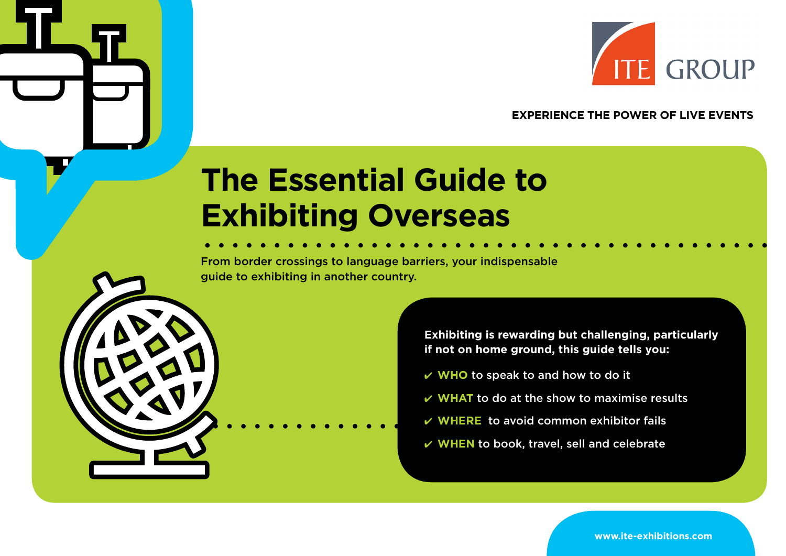

## **EXPERIENCE THE POWER OF LIVE EVENTS**

# **The Essential Guide to Exhibiting Overseas**

From border crossings to language barriers, your indispensable guide to exhibiting in another country.

> **Exhibiting is rewarding but challenging, particularly if not on home ground, this guide tells you:**

- ✔ **WHO** to speak to and how to do it
- $\vee$  WHAT to do at the show to maximise results
- $\mathbf v$  WHERE to avoid common exhibitor fails
- ✔ **WHEN** to book, travel, sell and celebrate

**www.ite-exhibitions.com**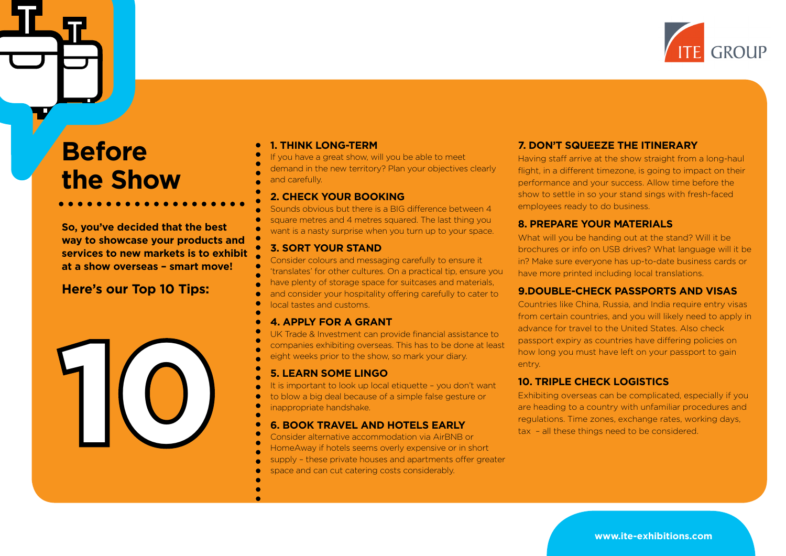

## **Before the Show**

**So, you've decided that the best way to showcase your products and services to new markets is to exhibit at a show overseas – smart move!** 

## **Here's our Top 10 Tips:**



## **1. THINK LONG-TERM**

- If you have a great show, will you be able to meet
- demand in the new territory? Plan your objectives clearly and carefully.

## **2. CHECK YOUR BOOKING**

- Sounds obvious but there is a BIG difference between 4
- square metres and 4 metres squared. The last thing you
- want is a nasty surprise when you turn up to your space.

## **3. SORT YOUR STAND**

- Consider colours and messaging carefully to ensure it 'translates' for other cultures. On a practical tip, ensure you
- have plenty of storage space for suitcases and materials,
- and consider your hospitality offering carefully to cater to
- local tastes and customs.

## **4. APPLY FOR A GRANT**

- UK Trade & Investment can provide financial assistance to
- companies exhibiting overseas. This has to be done at least
- eight weeks prior to the show, so mark your diary.

## **5. LEARN SOME LINGO**

- It is important to look up local etiquette you don't want
- to blow a big deal because of a simple false gesture or
- inappropriate handshake.

## **6. BOOK TRAVEL AND HOTELS EARLY**

- Consider alternative accommodation via AirBNB or
- HomeAway if hotels seems overly expensive or in short
- supply these private houses and apartments offer greater
- space and can cut catering costs considerably.

## **7. DON'T SQUEEZE THE ITINERARY**

Having staff arrive at the show straight from a long-haul flight, in a different timezone, is going to impact on their performance and your success. Allow time before the show to settle in so your stand sings with fresh-faced employees ready to do business.

## **8. PREPARE YOUR MATERIALS**

What will you be handing out at the stand? Will it be brochures or info on USB drives? What language will it be in? Make sure everyone has up-to-date business cards or have more printed including local translations.

## **9.DOUBLE-CHECK PASSPORTS AND VISAS**

Countries like China, Russia, and India require entry visas from certain countries, and you will likely need to apply in advance for travel to the United States. Also check passport expiry as countries have differing policies on how long you must have left on your passport to gain entry.

## **10. TRIPLE CHECK LOGISTICS**

Exhibiting overseas can be complicated, especially if you are heading to a country with unfamiliar procedures and regulations. Time zones, exchange rates, working days, tax – all these things need to be considered.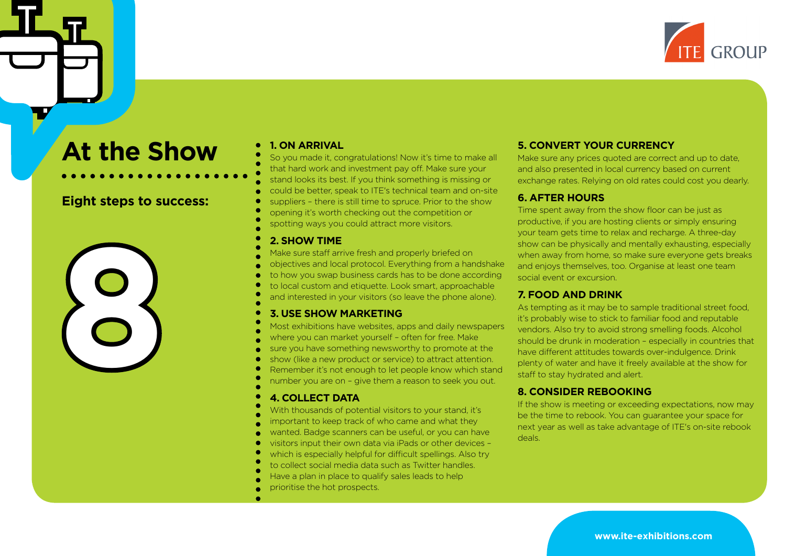

## **At the Show**

## **Eight steps to success:**



## **1. ON ARRIVAL**

- So you made it, congratulations! Now it's time to make all that hard work and investment pay off. Make sure your
- stand looks its best. If you think something is missing or
- could be better, speak to ITE's technical team and on-site
- suppliers there is still time to spruce. Prior to the show
- opening it's worth checking out the competition or
- spotting ways you could attract more visitors.

#### **2. SHOW TIME**

- Make sure staff arrive fresh and properly briefed on
- objectives and local protocol. Everything from a handshake
- to how you swap business cards has to be done according
- to local custom and etiquette. Look smart, approachable
- and interested in your visitors (so leave the phone alone).

## **3. USE SHOW MARKETING**

- Most exhibitions have websites, apps and daily newspapers
- where you can market yourself often for free. Make
- sure you have something newsworthy to promote at the
- show (like a new product or service) to attract attention.
- Remember it's not enough to let people know which stand
- number you are on give them a reason to seek you out.

## **4. COLLECT DATA**

- With thousands of potential visitors to your stand, it's
- important to keep track of who came and what they
- wanted. Badge scanners can be useful, or you can have
- visitors input their own data via iPads or other devices –
- which is especially helpful for difficult spellings. Also try
- to collect social media data such as Twitter handles.
- Have a plan in place to qualify sales leads to help
- prioritise the hot prospects.

## **5. CONVERT YOUR CURRENCY**

Make sure any prices quoted are correct and up to date, and also presented in local currency based on current exchange rates. Relying on old rates could cost you dearly.

## **6. AFTER HOURS**

Time spent away from the show floor can be just as productive, if you are hosting clients or simply ensuring your team gets time to relax and recharge. A three-day show can be physically and mentally exhausting, especially when away from home, so make sure everyone gets breaks and enjoys themselves, too. Organise at least one team social event or excursion.

## **7. FOOD AND DRINK**

As tempting as it may be to sample traditional street food, it's probably wise to stick to familiar food and reputable vendors. Also try to avoid strong smelling foods. Alcohol should be drunk in moderation – especially in countries that have different attitudes towards over-indulgence. Drink plenty of water and have it freely available at the show for staff to stay hydrated and alert.

## **8. CONSIDER REBOOKING**

If the show is meeting or exceeding expectations, now may be the time to rebook. You can guarantee your space for next year as well as take advantage of ITE's on-site rebook deals.